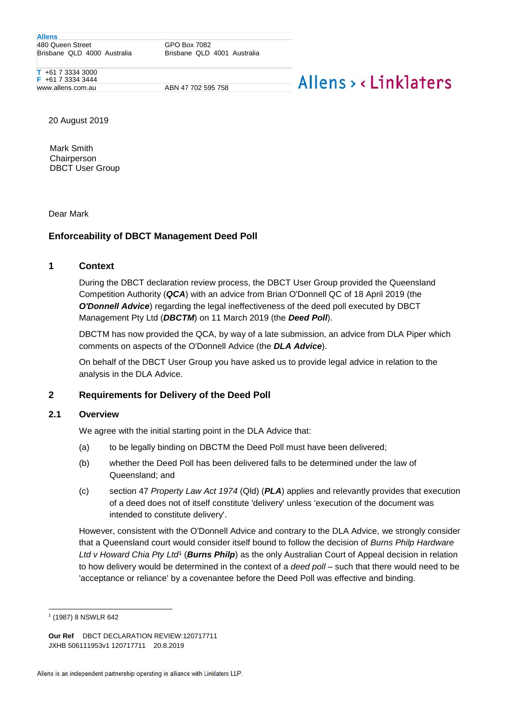**Allens** 480 Queen Street Brisbane QLD 4000 Australia

GPO Box 7082 Brisbane QLD 4001 Australia

**T** +61 7 3334 3000 **F** +61 7 3334 3444 www.allens.com.au ABN 47 702 595 758

# Allens > <linklaters

20 August 2019

Mark Smith **Chairperson** DBCT User Group

Dear Mark

# **Enforceability of DBCT Management Deed Poll**

## **1 Context**

During the DBCT declaration review process, the DBCT User Group provided the Queensland Competition Authority (*QCA*) with an advice from Brian O'Donnell QC of 18 April 2019 (the *O'Donnell Advice*) regarding the legal ineffectiveness of the deed poll executed by DBCT Management Pty Ltd (*DBCTM*) on 11 March 2019 (the *Deed Poll*).

DBCTM has now provided the QCA, by way of a late submission, an advice from DLA Piper which comments on aspects of the O'Donnell Advice (the *DLA Advice*).

On behalf of the DBCT User Group you have asked us to provide legal advice in relation to the analysis in the DLA Advice.

## **2 Requirements for Delivery of the Deed Poll**

## **2.1 Overview**

We agree with the initial starting point in the DLA Advice that:

- (a) to be legally binding on DBCTM the Deed Poll must have been delivered;
- (b) whether the Deed Poll has been delivered falls to be determined under the law of Queensland; and
- (c) section 47 *Property Law Act 1974* (Qld) (*PLA*) applies and relevantly provides that execution of a deed does not of itself constitute 'delivery' unless 'execution of the document was intended to constitute delivery'.

However, consistent with the O'Donnell Advice and contrary to the DLA Advice, we strongly consider that a Queensland court would consider itself bound to follow the decision of *Burns Philp Hardware*  Ltd v Howard Chia Pty Ltd<sup>1</sup> (Burns Philp) as the only Australian Court of Appeal decision in relation to how delivery would be determined in the context of a *deed poll* – such that there would need to be 'acceptance or reliance' by a covenantee before the Deed Poll was effective and binding.

<sup>1</sup> 1 (1987) 8 NSWLR 642

**Our Ref** DBCT DECLARATION REVIEW:120717711 JXHB 506111953v1 120717711 20.8.2019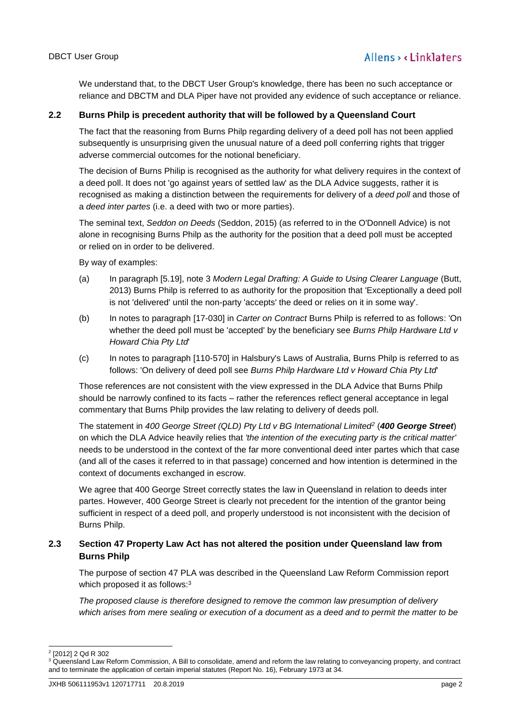We understand that, to the DBCT User Group's knowledge, there has been no such acceptance or reliance and DBCTM and DLA Piper have not provided any evidence of such acceptance or reliance.

## **2.2 Burns Philp is precedent authority that will be followed by a Queensland Court**

The fact that the reasoning from Burns Philp regarding delivery of a deed poll has not been applied subsequently is unsurprising given the unusual nature of a deed poll conferring rights that trigger adverse commercial outcomes for the notional beneficiary.

The decision of Burns Philip is recognised as the authority for what delivery requires in the context of a deed poll. It does not 'go against years of settled law' as the DLA Advice suggests, rather it is recognised as making a distinction between the requirements for delivery of a *deed poll* and those of a *deed inter partes* (i.e. a deed with two or more parties).

The seminal text, *Seddon on Deeds* (Seddon, 2015) (as referred to in the O'Donnell Advice) is not alone in recognising Burns Philp as the authority for the position that a deed poll must be accepted or relied on in order to be delivered.

By way of examples:

- (a) In paragraph [5.19], note 3 *Modern Legal Drafting: A Guide to Using Clearer Language* (Butt, 2013) Burns Philp is referred to as authority for the proposition that 'Exceptionally a deed poll is not 'delivered' until the non-party 'accepts' the deed or relies on it in some way'.
- (b) In notes to paragraph [17-030] in *Carter on Contract* Burns Philp is referred to as follows: 'On whether the deed poll must be 'accepted' by the beneficiary see *Burns Philp Hardware Ltd v Howard Chia Pty Ltd*'
- (c) In notes to paragraph [110-570] in Halsbury's Laws of Australia, Burns Philp is referred to as follows: 'On delivery of deed poll see *Burns Philp Hardware Ltd v Howard Chia Pty Ltd*'

Those references are not consistent with the view expressed in the DLA Advice that Burns Philp should be narrowly confined to its facts – rather the references reflect general acceptance in legal commentary that Burns Philp provides the law relating to delivery of deeds poll.

The statement in *400 George Street (QLD) Pty Ltd v BG International Limited<sup>2</sup>* (*400 George Street*) on which the DLA Advice heavily relies that *'the intention of the executing party is the critical matter'* needs to be understood in the context of the far more conventional deed inter partes which that case (and all of the cases it referred to in that passage) concerned and how intention is determined in the context of documents exchanged in escrow.

We agree that 400 George Street correctly states the law in Queensland in relation to deeds inter partes. However, 400 George Street is clearly not precedent for the intention of the grantor being sufficient in respect of a deed poll, and properly understood is not inconsistent with the decision of Burns Philp.

# **2.3 Section 47 Property Law Act has not altered the position under Queensland law from Burns Philp**

The purpose of section 47 PLA was described in the Queensland Law Reform Commission report which proposed it as follows:<sup>3</sup>

*The proposed clause is therefore designed to remove the common law presumption of delivery*  which arises from mere sealing or execution of a document as a deed and to permit the matter to be

<sup>1</sup> 2 [2012] 2 Qd R 302

<sup>&</sup>lt;sup>3</sup> Queensland Law Reform Commission, A Bill to consolidate, amend and reform the law relating to conveyancing property, and contract and to terminate the application of certain imperial statutes (Report No. 16), February 1973 at 34.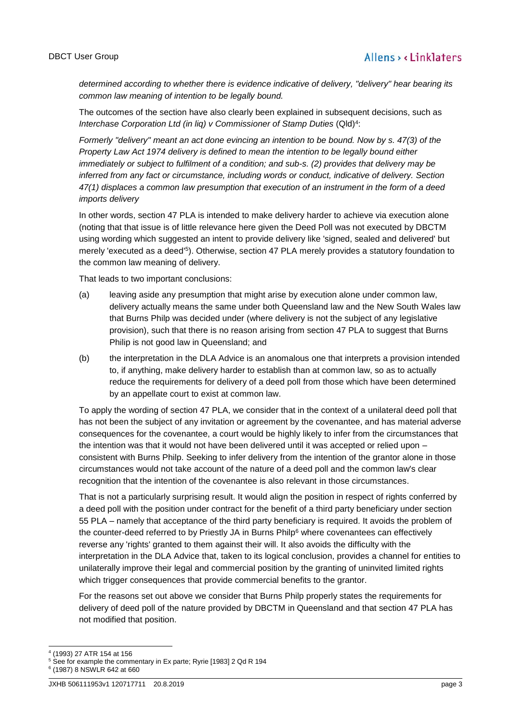*determined according to whether there is evidence indicative of delivery, "delivery" hear bearing its common law meaning of intention to be legally bound.*

The outcomes of the section have also clearly been explained in subsequent decisions, such as *Interchase Corporation Ltd (in liq) v Commissioner of Stamp Duties* (Qld)<sup>4</sup> :

*Formerly "delivery" meant an act done evincing an intention to be bound. Now by s. 47(3) of the Property Law Act 1974 delivery is defined to mean the intention to be legally bound either immediately or subject to fulfilment of a condition; and sub-s. (2) provides that delivery may be inferred from any fact or circumstance, including words or conduct, indicative of delivery. Section 47(1) displaces a common law presumption that execution of an instrument in the form of a deed imports delivery*

In other words, section 47 PLA is intended to make delivery harder to achieve via execution alone (noting that that issue is of little relevance here given the Deed Poll was not executed by DBCTM using wording which suggested an intent to provide delivery like 'signed, sealed and delivered' but merely 'executed as a deed'<sup>5</sup>). Otherwise, section 47 PLA merely provides a statutory foundation to the common law meaning of delivery.

That leads to two important conclusions:

- (a) leaving aside any presumption that might arise by execution alone under common law, delivery actually means the same under both Queensland law and the New South Wales law that Burns Philp was decided under (where delivery is not the subject of any legislative provision), such that there is no reason arising from section 47 PLA to suggest that Burns Philip is not good law in Queensland; and
- (b) the interpretation in the DLA Advice is an anomalous one that interprets a provision intended to, if anything, make delivery harder to establish than at common law, so as to actually reduce the requirements for delivery of a deed poll from those which have been determined by an appellate court to exist at common law.

To apply the wording of section 47 PLA, we consider that in the context of a unilateral deed poll that has not been the subject of any invitation or agreement by the covenantee, and has material adverse consequences for the covenantee, a court would be highly likely to infer from the circumstances that the intention was that it would not have been delivered until it was accepted or relied upon – consistent with Burns Philp. Seeking to infer delivery from the intention of the grantor alone in those circumstances would not take account of the nature of a deed poll and the common law's clear recognition that the intention of the covenantee is also relevant in those circumstances.

That is not a particularly surprising result. It would align the position in respect of rights conferred by a deed poll with the position under contract for the benefit of a third party beneficiary under section 55 PLA – namely that acceptance of the third party beneficiary is required. It avoids the problem of the counter-deed referred to by Priestly JA in Burns Philp<sup>6</sup> where covenantees can effectively reverse any 'rights' granted to them against their will. It also avoids the difficulty with the interpretation in the DLA Advice that, taken to its logical conclusion, provides a channel for entities to unilaterally improve their legal and commercial position by the granting of uninvited limited rights which trigger consequences that provide commercial benefits to the grantor.

For the reasons set out above we consider that Burns Philp properly states the requirements for delivery of deed poll of the nature provided by DBCTM in Queensland and that section 47 PLA has not modified that position.

<sup>1</sup> 4 (1993) 27 ATR 154 at 156

<sup>&</sup>lt;sup>5</sup> See for example the commentary in Ex parte; Ryrie [1983] 2 Qd R 194

<sup>6</sup> (1987) 8 NSWLR 642 at 660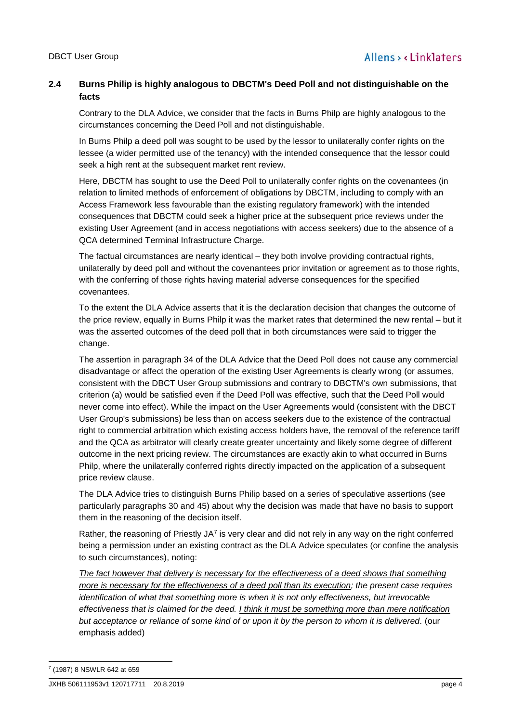# **2.4 Burns Philip is highly analogous to DBCTM's Deed Poll and not distinguishable on the facts**

Contrary to the DLA Advice, we consider that the facts in Burns Philp are highly analogous to the circumstances concerning the Deed Poll and not distinguishable.

In Burns Philp a deed poll was sought to be used by the lessor to unilaterally confer rights on the lessee (a wider permitted use of the tenancy) with the intended consequence that the lessor could seek a high rent at the subsequent market rent review.

Here, DBCTM has sought to use the Deed Poll to unilaterally confer rights on the covenantees (in relation to limited methods of enforcement of obligations by DBCTM, including to comply with an Access Framework less favourable than the existing regulatory framework) with the intended consequences that DBCTM could seek a higher price at the subsequent price reviews under the existing User Agreement (and in access negotiations with access seekers) due to the absence of a QCA determined Terminal Infrastructure Charge.

The factual circumstances are nearly identical – they both involve providing contractual rights, unilaterally by deed poll and without the covenantees prior invitation or agreement as to those rights, with the conferring of those rights having material adverse consequences for the specified covenantees.

To the extent the DLA Advice asserts that it is the declaration decision that changes the outcome of the price review, equally in Burns Philp it was the market rates that determined the new rental – but it was the asserted outcomes of the deed poll that in both circumstances were said to trigger the change.

The assertion in paragraph 34 of the DLA Advice that the Deed Poll does not cause any commercial disadvantage or affect the operation of the existing User Agreements is clearly wrong (or assumes, consistent with the DBCT User Group submissions and contrary to DBCTM's own submissions, that criterion (a) would be satisfied even if the Deed Poll was effective, such that the Deed Poll would never come into effect). While the impact on the User Agreements would (consistent with the DBCT User Group's submissions) be less than on access seekers due to the existence of the contractual right to commercial arbitration which existing access holders have, the removal of the reference tariff and the QCA as arbitrator will clearly create greater uncertainty and likely some degree of different outcome in the next pricing review. The circumstances are exactly akin to what occurred in Burns Philp, where the unilaterally conferred rights directly impacted on the application of a subsequent price review clause.

The DLA Advice tries to distinguish Burns Philip based on a series of speculative assertions (see particularly paragraphs 30 and 45) about why the decision was made that have no basis to support them in the reasoning of the decision itself.

Rather, the reasoning of Priestly JA<sup>7</sup> is very clear and did not rely in any way on the right conferred being a permission under an existing contract as the DLA Advice speculates (or confine the analysis to such circumstances), noting:

*The fact however that delivery is necessary for the effectiveness of a deed shows that something more is necessary for the effectiveness of a deed poll than its execution; the present case requires identification of what that something more is when it is not only effectiveness, but irrevocable effectiveness that is claimed for the deed. I think it must be something more than mere notification but acceptance or reliance of some kind of or upon it by the person to whom it is delivered.* (our emphasis added)

-7 (1987) 8 NSWLR 642 at 659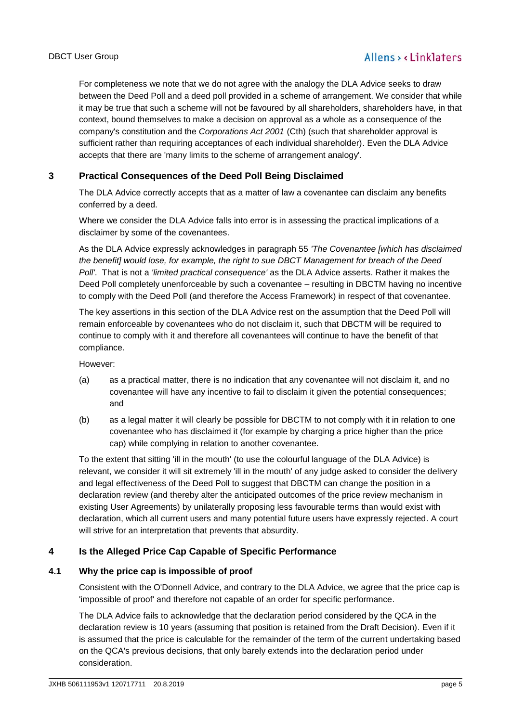For completeness we note that we do not agree with the analogy the DLA Advice seeks to draw between the Deed Poll and a deed poll provided in a scheme of arrangement. We consider that while it may be true that such a scheme will not be favoured by all shareholders, shareholders have, in that context, bound themselves to make a decision on approval as a whole as a consequence of the company's constitution and the *Corporations Act 2001* (Cth) (such that shareholder approval is sufficient rather than requiring acceptances of each individual shareholder). Even the DLA Advice accepts that there are 'many limits to the scheme of arrangement analogy'.

# **3 Practical Consequences of the Deed Poll Being Disclaimed**

The DLA Advice correctly accepts that as a matter of law a covenantee can disclaim any benefits conferred by a deed.

Where we consider the DLA Advice falls into error is in assessing the practical implications of a disclaimer by some of the covenantees.

As the DLA Advice expressly acknowledges in paragraph 55 *'The Covenantee [which has disclaimed the benefit] would lose, for example, the right to sue DBCT Management for breach of the Deed Poll'*. That is not a *'limited practical consequence'* as the DLA Advice asserts. Rather it makes the Deed Poll completely unenforceable by such a covenantee – resulting in DBCTM having no incentive to comply with the Deed Poll (and therefore the Access Framework) in respect of that covenantee.

The key assertions in this section of the DLA Advice rest on the assumption that the Deed Poll will remain enforceable by covenantees who do not disclaim it, such that DBCTM will be required to continue to comply with it and therefore all covenantees will continue to have the benefit of that compliance.

However:

- (a) as a practical matter, there is no indication that any covenantee will not disclaim it, and no covenantee will have any incentive to fail to disclaim it given the potential consequences; and
- (b) as a legal matter it will clearly be possible for DBCTM to not comply with it in relation to one covenantee who has disclaimed it (for example by charging a price higher than the price cap) while complying in relation to another covenantee.

To the extent that sitting 'ill in the mouth' (to use the colourful language of the DLA Advice) is relevant, we consider it will sit extremely 'ill in the mouth' of any judge asked to consider the delivery and legal effectiveness of the Deed Poll to suggest that DBCTM can change the position in a declaration review (and thereby alter the anticipated outcomes of the price review mechanism in existing User Agreements) by unilaterally proposing less favourable terms than would exist with declaration, which all current users and many potential future users have expressly rejected. A court will strive for an interpretation that prevents that absurdity.

# **4 Is the Alleged Price Cap Capable of Specific Performance**

# **4.1 Why the price cap is impossible of proof**

Consistent with the O'Donnell Advice, and contrary to the DLA Advice, we agree that the price cap is 'impossible of proof' and therefore not capable of an order for specific performance.

The DLA Advice fails to acknowledge that the declaration period considered by the QCA in the declaration review is 10 years (assuming that position is retained from the Draft Decision). Even if it is assumed that the price is calculable for the remainder of the term of the current undertaking based on the QCA's previous decisions, that only barely extends into the declaration period under consideration.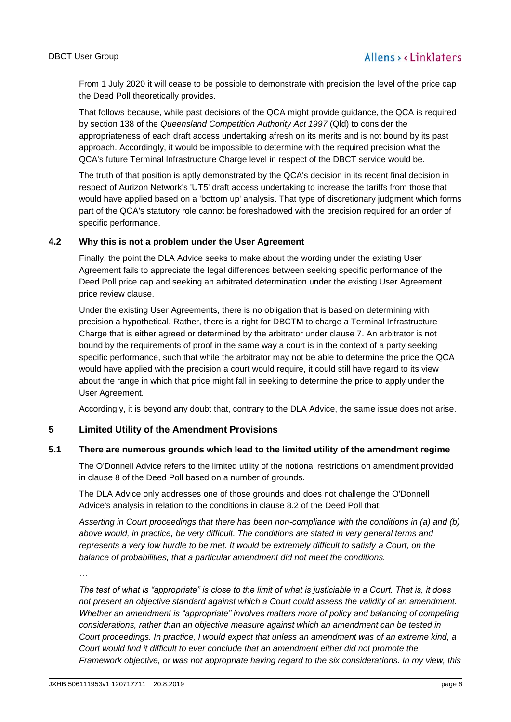From 1 July 2020 it will cease to be possible to demonstrate with precision the level of the price cap the Deed Poll theoretically provides.

That follows because, while past decisions of the QCA might provide guidance, the QCA is required by section 138 of the *Queensland Competition Authority Act 1997* (Qld) to consider the appropriateness of each draft access undertaking afresh on its merits and is not bound by its past approach. Accordingly, it would be impossible to determine with the required precision what the QCA's future Terminal Infrastructure Charge level in respect of the DBCT service would be.

The truth of that position is aptly demonstrated by the QCA's decision in its recent final decision in respect of Aurizon Network's 'UT5' draft access undertaking to increase the tariffs from those that would have applied based on a 'bottom up' analysis. That type of discretionary judgment which forms part of the QCA's statutory role cannot be foreshadowed with the precision required for an order of specific performance.

## **4.2 Why this is not a problem under the User Agreement**

Finally, the point the DLA Advice seeks to make about the wording under the existing User Agreement fails to appreciate the legal differences between seeking specific performance of the Deed Poll price cap and seeking an arbitrated determination under the existing User Agreement price review clause.

Under the existing User Agreements, there is no obligation that is based on determining with precision a hypothetical. Rather, there is a right for DBCTM to charge a Terminal Infrastructure Charge that is either agreed or determined by the arbitrator under clause 7. An arbitrator is not bound by the requirements of proof in the same way a court is in the context of a party seeking specific performance, such that while the arbitrator may not be able to determine the price the QCA would have applied with the precision a court would require, it could still have regard to its view about the range in which that price might fall in seeking to determine the price to apply under the User Agreement.

Accordingly, it is beyond any doubt that, contrary to the DLA Advice, the same issue does not arise.

## **5 Limited Utility of the Amendment Provisions**

## **5.1 There are numerous grounds which lead to the limited utility of the amendment regime**

The O'Donnell Advice refers to the limited utility of the notional restrictions on amendment provided in clause 8 of the Deed Poll based on a number of grounds.

The DLA Advice only addresses one of those grounds and does not challenge the O'Donnell Advice's analysis in relation to the conditions in clause 8.2 of the Deed Poll that:

*Asserting in Court proceedings that there has been non-compliance with the conditions in (a) and (b) above would, in practice, be very difficult. The conditions are stated in very general terms and represents a very low hurdle to be met. It would be extremely difficult to satisfy a Court, on the balance of probabilities, that a particular amendment did not meet the conditions.*

*…*

*The test of what is "appropriate" is close to the limit of what is justiciable in a Court. That is, it does not present an objective standard against which a Court could assess the validity of an amendment. Whether an amendment is "appropriate" involves matters more of policy and balancing of competing considerations, rather than an objective measure against which an amendment can be tested in Court proceedings. In practice, I would expect that unless an amendment was of an extreme kind, a Court would find it difficult to ever conclude that an amendment either did not promote the Framework objective, or was not appropriate having regard to the six considerations. In my view, this*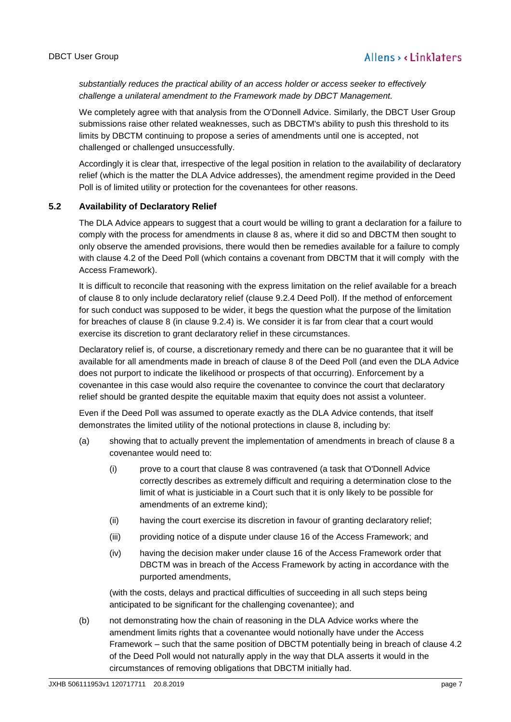*substantially reduces the practical ability of an access holder or access seeker to effectively challenge a unilateral amendment to the Framework made by DBCT Management.*

We completely agree with that analysis from the O'Donnell Advice. Similarly, the DBCT User Group submissions raise other related weaknesses, such as DBCTM's ability to push this threshold to its limits by DBCTM continuing to propose a series of amendments until one is accepted, not challenged or challenged unsuccessfully.

Accordingly it is clear that, irrespective of the legal position in relation to the availability of declaratory relief (which is the matter the DLA Advice addresses), the amendment regime provided in the Deed Poll is of limited utility or protection for the covenantees for other reasons.

# **5.2 Availability of Declaratory Relief**

The DLA Advice appears to suggest that a court would be willing to grant a declaration for a failure to comply with the process for amendments in clause 8 as, where it did so and DBCTM then sought to only observe the amended provisions, there would then be remedies available for a failure to comply with clause 4.2 of the Deed Poll (which contains a covenant from DBCTM that it will comply with the Access Framework).

It is difficult to reconcile that reasoning with the express limitation on the relief available for a breach of clause 8 to only include declaratory relief (clause 9.2.4 Deed Poll). If the method of enforcement for such conduct was supposed to be wider, it begs the question what the purpose of the limitation for breaches of clause 8 (in clause 9.2.4) is. We consider it is far from clear that a court would exercise its discretion to grant declaratory relief in these circumstances.

Declaratory relief is, of course, a discretionary remedy and there can be no guarantee that it will be available for all amendments made in breach of clause 8 of the Deed Poll (and even the DLA Advice does not purport to indicate the likelihood or prospects of that occurring). Enforcement by a covenantee in this case would also require the covenantee to convince the court that declaratory relief should be granted despite the equitable maxim that equity does not assist a volunteer.

Even if the Deed Poll was assumed to operate exactly as the DLA Advice contends, that itself demonstrates the limited utility of the notional protections in clause 8, including by:

- (a) showing that to actually prevent the implementation of amendments in breach of clause 8 a covenantee would need to:
	- (i) prove to a court that clause 8 was contravened (a task that O'Donnell Advice correctly describes as extremely difficult and requiring a determination close to the limit of what is justiciable in a Court such that it is only likely to be possible for amendments of an extreme kind);
	- (ii) having the court exercise its discretion in favour of granting declaratory relief;
	- (iii) providing notice of a dispute under clause 16 of the Access Framework; and
	- (iv) having the decision maker under clause 16 of the Access Framework order that DBCTM was in breach of the Access Framework by acting in accordance with the purported amendments,

(with the costs, delays and practical difficulties of succeeding in all such steps being anticipated to be significant for the challenging covenantee); and

(b) not demonstrating how the chain of reasoning in the DLA Advice works where the amendment limits rights that a covenantee would notionally have under the Access Framework – such that the same position of DBCTM potentially being in breach of clause 4.2 of the Deed Poll would not naturally apply in the way that DLA asserts it would in the circumstances of removing obligations that DBCTM initially had.